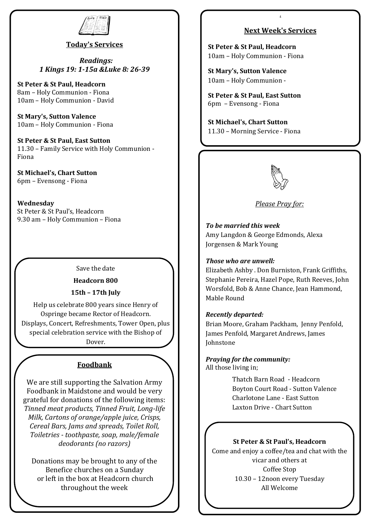

## **Today's Services**

*Readings: 1 Kings 19: 1-15a &Luke 8: 26-39*

**St Peter & St Paul, Headcorn** 8am – Holy Communion - Fiona 10am – Holy Communion - David

**St Mary's, Sutton Valence**  10am – Holy Communion - Fiona

**St Peter & St Paul, East Sutton** 11.30 – Family Service with Holy Communion - Fiona

**St Michael's, Chart Sutton** 6pm – Evensong - Fiona

**Wednesday**  St Peter & St Paul's, Headcorn 9.30 am – Holy Communion – Fiona

## Save the date

### **Headcorn 800**

### **15th – 17th July**

Help us celebrate 800 years since Henry of Ospringe became Rector of Headcorn. Displays, Concert, Refreshments, Tower Open, plus special celebration service with the Bishop of Dover.

## **Foodbank**

We are still supporting the Salvation Army Foodbank in Maidstone and would be very grateful for donations of the following items: *Tinned meat products, Tinned Fruit, Long-life Milk, Cartons of orange/apple juice, Crisps, Cereal Bars, Jams and spreads, Toilet Roll, Toiletries - toothpaste, soap, male/female deodorants (no razors)*

Donations may be brought to any of the Benefice churches on a Sunday or left in the box at Headcorn church throughout the week

## **Next Week's Services**

**d**

**St Peter & St Paul, Headcorn** 10am – Holy Communion - Fiona

**St Mary's, Sutton Valence** 10am – Holy Communion -

**St Peter & St Paul, East Sutton** 6pm – Evensong - Fiona

**St Michael's, Chart Sutton** 11.30 – Morning Service - Fiona



*Please Pray for:*

*To be married this week* Amy Langdon & George Edmonds, Alexa Jorgensen & Mark Young

#### *Those who are unwell:*

Elizabeth Ashby . Don Burniston, Frank Griffiths, Stephanie Pereira, Hazel Pope, Ruth Reeves, John Worsfold, Bob & Anne Chance, Jean Hammond, Mable Round

#### *Recently departed:*

Brian Moore, Graham Packham, Jenny Penfold, James Penfold, Margaret Andrews, James Johnstone

*Praying for the community:* All those living in;

> Thatch Barn Road - Headcorn Boyton Court Road - Sutton Valence Charlotone Lane - East Sutton Laxton Drive - Chart Sutton

#### **St Peter & St Paul's, Headcorn**

Come and enjoy a coffee/tea and chat with the vicar and others at Coffee Stop 10.30 – 12noon every Tuesday All Welcome